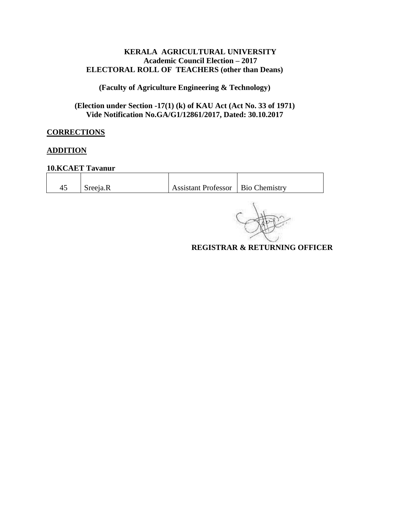### **KERALA AGRICULTURAL UNIVERSITY Academic Council Election – 2017 ELECTORAL ROLL OF TEACHERS (other than Deans)**

# **(Faculty of Agriculture Engineering & Technology)**

## **(Election under Section -17(1) (k) of KAU Act (Act No. 33 of 1971) Vide Notification No.GA/G1/12861/2017, Dated: 30.10.2017**

### **CORRECTIONS**

#### **ADDITION**

## **10.KCAET Tavanur**

| 45 | Sreeja.R | Assistant Professor   Bio Chemistry |  |
|----|----------|-------------------------------------|--|

 **REGISTRAR & RETURNING OFFICER**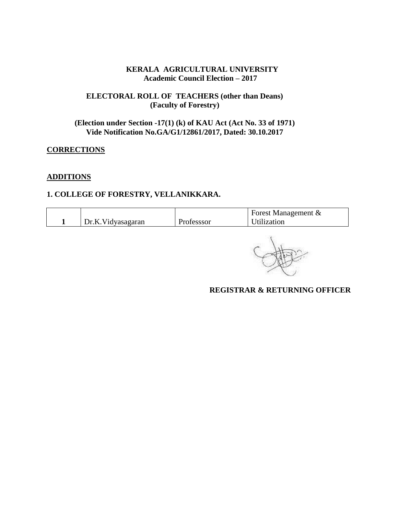## **KERALA AGRICULTURAL UNIVERSITY Academic Council Election – 2017**

## **ELECTORAL ROLL OF TEACHERS (other than Deans) (Faculty of Forestry)**

**(Election under Section -17(1) (k) of KAU Act (Act No. 33 of 1971) Vide Notification No.GA/G1/12861/2017, Dated: 30.10.2017**

#### **CORRECTIONS**

### **ADDITIONS**

## **1. COLLEGE OF FORESTRY, VELLANIKKARA.**

|                    |            | Forest Management $\&$ |
|--------------------|------------|------------------------|
| Dr.K. Vidyasagaran | Professsor | Utilization            |

## **REGISTRAR & RETURNING OFFICER**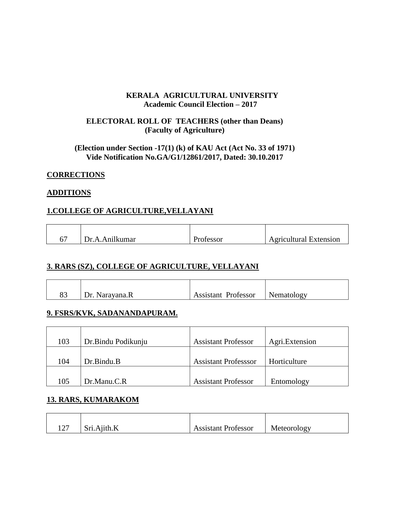#### **KERALA AGRICULTURAL UNIVERSITY Academic Council Election – 2017**

#### **ELECTORAL ROLL OF TEACHERS (other than Deans) (Faculty of Agriculture)**

**(Election under Section -17(1) (k) of KAU Act (Act No. 33 of 1971) Vide Notification No.GA/G1/12861/2017, Dated: 30.10.2017**

#### **CORRECTIONS**

#### **ADDITIONS**

## **1.COLLEGE OF AGRICULTURE,VELLAYANI**

| Dr.A.Anilkumar | Professor | <b>Agricultural Extension</b> |
|----------------|-----------|-------------------------------|

# **3. RARS (SZ), COLLEGE OF AGRICULTURE, VELLAYANI**

| Q۵<br>റ്യ | Dr. Narayana.R | <b>Assistant Professor</b> | Nematology |
|-----------|----------------|----------------------------|------------|

#### **9. FSRS/KVK, SADANANDAPURAM.**

| 103 | Dr.Bindu Podikunju | <b>Assistant Professor</b>  | Agri.Extension |
|-----|--------------------|-----------------------------|----------------|
|     |                    |                             |                |
| 104 | Dr.Bindu.B         | <b>Assistant Professsor</b> | Horticulture   |
|     |                    |                             |                |
| 105 | Dr.Manu.C.R        | <b>Assistant Professor</b>  | Entomology     |

#### **13. RARS, KUMARAKOM**

| $\sim$<br>$\overline{\phantom{0}}$ | Sri.Ajith.K | <b>Assistant Professor</b> | Meteorology |
|------------------------------------|-------------|----------------------------|-------------|